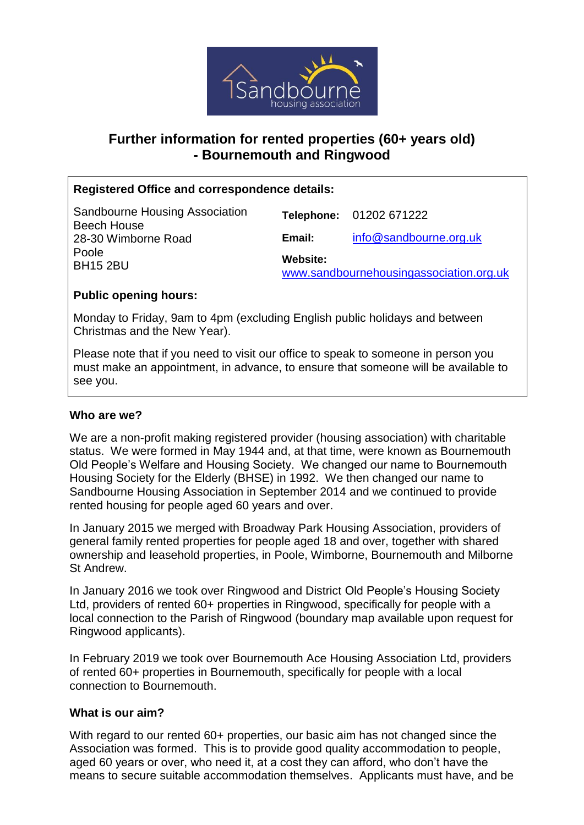

# **Further information for rented properties (60+ years old) - Bournemouth and Ringwood**

## **Registered Office and correspondence details:**

| Sandbourne Housing Association<br><b>Beech House</b> |                                                     | Telephone: 01202 671222 |
|------------------------------------------------------|-----------------------------------------------------|-------------------------|
| 28-30 Wimborne Road                                  | Email:                                              | info@sandbourne.org.uk  |
| Poole<br><b>BH15 2BU</b>                             | Website:<br>www.sandbournehousingassociation.org.uk |                         |

### **Public opening hours:**

Monday to Friday, 9am to 4pm (excluding English public holidays and between Christmas and the New Year).

Please note that if you need to visit our office to speak to someone in person you must make an appointment, in advance, to ensure that someone will be available to see you.

### **Who are we?**

We are a non-profit making registered provider (housing association) with charitable status. We were formed in May 1944 and, at that time, were known as Bournemouth Old People's Welfare and Housing Society. We changed our name to Bournemouth Housing Society for the Elderly (BHSE) in 1992. We then changed our name to Sandbourne Housing Association in September 2014 and we continued to provide rented housing for people aged 60 years and over.

In January 2015 we merged with Broadway Park Housing Association, providers of general family rented properties for people aged 18 and over, together with shared ownership and leasehold properties, in Poole, Wimborne, Bournemouth and Milborne St Andrew.

In January 2016 we took over Ringwood and District Old People's Housing Society Ltd, providers of rented 60+ properties in Ringwood, specifically for people with a local connection to the Parish of Ringwood (boundary map available upon request for Ringwood applicants).

In February 2019 we took over Bournemouth Ace Housing Association Ltd, providers of rented 60+ properties in Bournemouth, specifically for people with a local connection to Bournemouth.

#### **What is our aim?**

With regard to our rented 60+ properties, our basic aim has not changed since the Association was formed. This is to provide good quality accommodation to people, aged 60 years or over, who need it, at a cost they can afford, who don't have the means to secure suitable accommodation themselves. Applicants must have, and be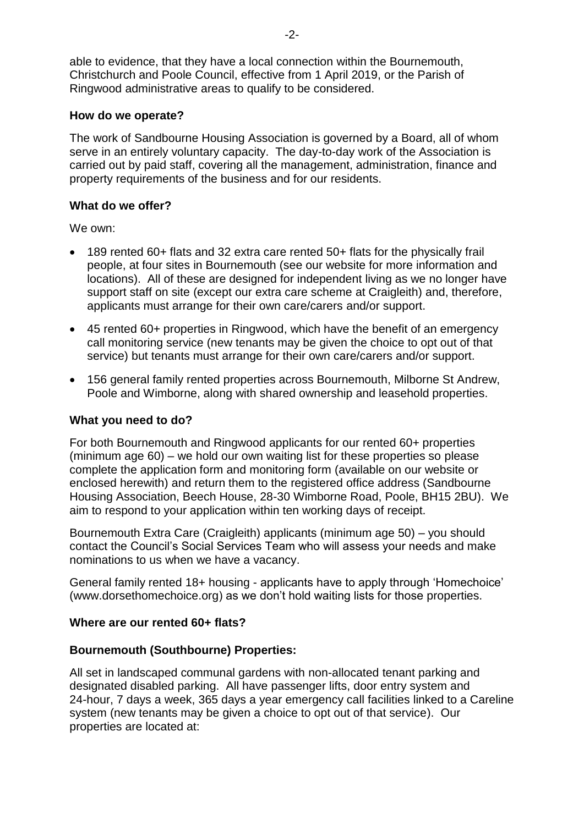able to evidence, that they have a local connection within the Bournemouth, Christchurch and Poole Council, effective from 1 April 2019, or the Parish of Ringwood administrative areas to qualify to be considered.

#### **How do we operate?**

The work of Sandbourne Housing Association is governed by a Board, all of whom serve in an entirely voluntary capacity. The day-to-day work of the Association is carried out by paid staff, covering all the management, administration, finance and property requirements of the business and for our residents.

#### **What do we offer?**

We own:

- 189 rented 60+ flats and 32 extra care rented 50+ flats for the physically frail people, at four sites in Bournemouth (see our website for more information and locations). All of these are designed for independent living as we no longer have support staff on site (except our extra care scheme at Craigleith) and, therefore, applicants must arrange for their own care/carers and/or support.
- 45 rented 60+ properties in Ringwood, which have the benefit of an emergency call monitoring service (new tenants may be given the choice to opt out of that service) but tenants must arrange for their own care/carers and/or support.
- 156 general family rented properties across Bournemouth, Milborne St Andrew, Poole and Wimborne, along with shared ownership and leasehold properties.

#### **What you need to do?**

For both Bournemouth and Ringwood applicants for our rented 60+ properties (minimum age 60) – we hold our own waiting list for these properties so please complete the application form and monitoring form (available on our website or enclosed herewith) and return them to the registered office address (Sandbourne Housing Association, Beech House, 28-30 Wimborne Road, Poole, BH15 2BU). We aim to respond to your application within ten working days of receipt.

Bournemouth Extra Care (Craigleith) applicants (minimum age 50) – you should contact the Council's Social Services Team who will assess your needs and make nominations to us when we have a vacancy.

General family rented 18+ housing - applicants have to apply through 'Homechoice' [\(www.dorsethomechoice.org\)](http://www.dorsethomechoice.org/) as we don't hold waiting lists for those properties.

#### **Where are our rented 60+ flats?**

#### **Bournemouth (Southbourne) Properties:**

All set in landscaped communal gardens with non-allocated tenant parking and designated disabled parking. All have passenger lifts, door entry system and 24-hour, 7 days a week, 365 days a year emergency call facilities linked to a Careline system (new tenants may be given a choice to opt out of that service). Our properties are located at: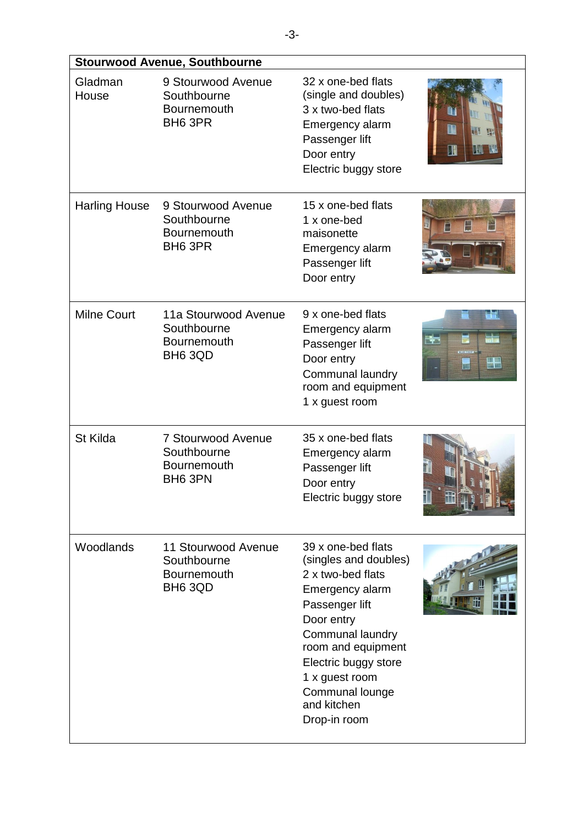| <b>Stourwood Avenue, Southbourne</b> |                                                                     |                                                                                                                                                                                                                                                           |                                 |
|--------------------------------------|---------------------------------------------------------------------|-----------------------------------------------------------------------------------------------------------------------------------------------------------------------------------------------------------------------------------------------------------|---------------------------------|
| Gladman<br>House                     | 9 Stourwood Avenue<br>Southbourne<br>Bournemouth<br>BH6 3PR         | 32 x one-bed flats<br>(single and doubles)<br>3 x two-bed flats<br>Emergency alarm<br>Passenger lift<br>Door entry<br>Electric buggy store                                                                                                                | 用<br>TM                         |
| <b>Harling House</b>                 | 9 Stourwood Avenue<br>Southbourne<br><b>Bournemouth</b><br>BH6 3PR  | 15 x one-bed flats<br>1 x one-bed<br>maisonette<br>Emergency alarm<br>Passenger lift<br>Door entry                                                                                                                                                        | E                               |
| <b>Milne Court</b>                   | 11a Stourwood Avenue<br>Southbourne<br>Bournemouth<br>BH6 3QD       | 9 x one-bed flats<br>Emergency alarm<br>Passenger lift<br>Door entry<br>Communal laundry<br>room and equipment<br>1 x guest room                                                                                                                          | ۲ă<br>$\frac{1}{10}$<br>÷<br>W. |
| St Kilda                             | <b>7 Stourwood Avenue</b><br>Southbourne<br>Bournemouth<br>BH6 3PN  | 35 x one-bed flats<br>Emergency alarm<br>Passenger lift<br>Door entry<br>Electric buggy store                                                                                                                                                             |                                 |
| Woodlands                            | 11 Stourwood Avenue<br>Southbourne<br><b>Bournemouth</b><br>BH6 3QD | 39 x one-bed flats<br>(singles and doubles)<br>2 x two-bed flats<br>Emergency alarm<br>Passenger lift<br>Door entry<br>Communal laundry<br>room and equipment<br>Electric buggy store<br>1 x guest room<br>Communal lounge<br>and kitchen<br>Drop-in room |                                 |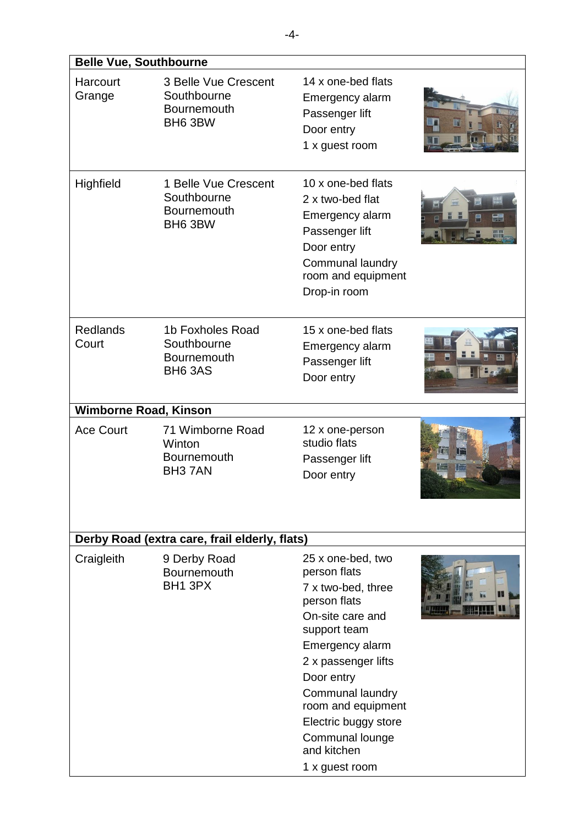| <b>Belle Vue, Southbourne</b> |                                                                              |                                                                                                                                                                                                                                                                                           |                           |  |
|-------------------------------|------------------------------------------------------------------------------|-------------------------------------------------------------------------------------------------------------------------------------------------------------------------------------------------------------------------------------------------------------------------------------------|---------------------------|--|
| Harcourt<br>Grange            | 3 Belle Vue Crescent<br>Southbourne<br><b>Bournemouth</b><br>BH6 3BW         | 14 x one-bed flats<br>Emergency alarm<br>Passenger lift<br>Door entry<br>1 x guest room                                                                                                                                                                                                   | u<br>tu t<br>TO           |  |
| Highfield                     | 1 Belle Vue Crescent<br>Southbourne<br>Bournemouth<br>BH6 3BW                | 10 x one-bed flats<br>2 x two-bed flat<br>Emergency alarm<br>Passenger lift<br>Door entry<br><b>Communal laundry</b><br>room and equipment<br>Drop-in room                                                                                                                                | $\frac{1}{\log n}$<br>EH, |  |
| <b>Redlands</b><br>Court      | 1b Foxholes Road<br>Southbourne<br><b>Bournemouth</b><br>BH <sub>6</sub> 3AS | 15 x one-bed flats<br>Emergency alarm<br>Passenger lift<br>Door entry                                                                                                                                                                                                                     |                           |  |
| <b>Wimborne Road, Kinson</b>  |                                                                              |                                                                                                                                                                                                                                                                                           |                           |  |
| <b>Ace Court</b>              | 71 Wimborne Road<br>Winton<br>Bournemouth<br>BH <sub>3</sub> 7AN             | 12 x one-person<br>studio flats<br>Passenger lift<br>Door entry                                                                                                                                                                                                                           | 版<br><b>Ma</b>            |  |
|                               | Derby Road (extra care, frail elderly, flats)                                |                                                                                                                                                                                                                                                                                           |                           |  |
| Craigleith                    | 9 Derby Road<br>Bournemouth<br>BH1 3PX                                       | 25 x one-bed, two<br>person flats<br>7 x two-bed, three<br>person flats<br>On-site care and<br>support team<br>Emergency alarm<br>2 x passenger lifts<br>Door entry<br>Communal laundry<br>room and equipment<br>Electric buggy store<br>Communal lounge<br>and kitchen<br>1 x guest room |                           |  |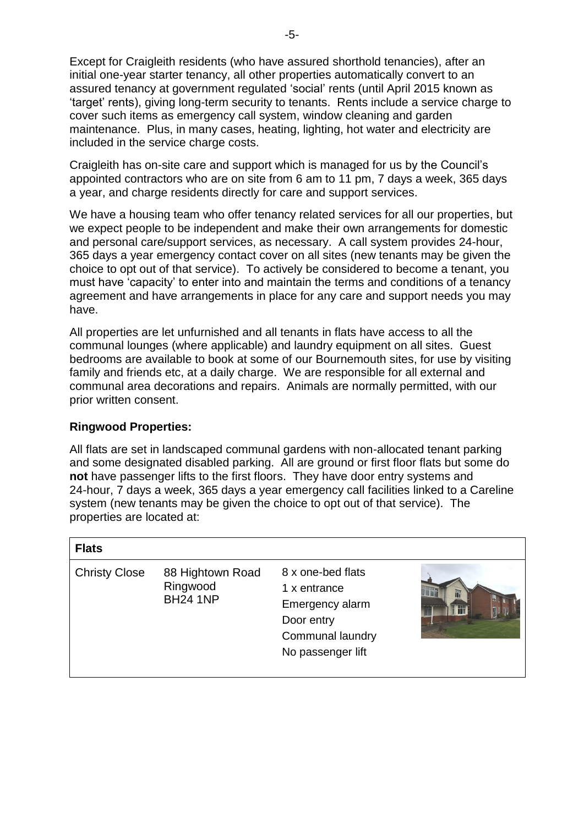Except for Craigleith residents (who have assured shorthold tenancies), after an initial one-year starter tenancy, all other properties automatically convert to an assured tenancy at government regulated 'social' rents (until April 2015 known as 'target' rents), giving long-term security to tenants. Rents include a service charge to cover such items as emergency call system, window cleaning and garden maintenance. Plus, in many cases, heating, lighting, hot water and electricity are included in the service charge costs.

Craigleith has on-site care and support which is managed for us by the Council's appointed contractors who are on site from 6 am to 11 pm, 7 days a week, 365 days a year, and charge residents directly for care and support services.

We have a housing team who offer tenancy related services for all our properties, but we expect people to be independent and make their own arrangements for domestic and personal care/support services, as necessary. A call system provides 24-hour, 365 days a year emergency contact cover on all sites (new tenants may be given the choice to opt out of that service). To actively be considered to become a tenant, you must have 'capacity' to enter into and maintain the terms and conditions of a tenancy agreement and have arrangements in place for any care and support needs you may have.

All properties are let unfurnished and all tenants in flats have access to all the communal lounges (where applicable) and laundry equipment on all sites. Guest bedrooms are available to book at some of our Bournemouth sites, for use by visiting family and friends etc, at a daily charge. We are responsible for all external and communal area decorations and repairs. Animals are normally permitted, with our prior written consent.

#### **Ringwood Properties:**

All flats are set in landscaped communal gardens with non-allocated tenant parking and some designated disabled parking. All are ground or first floor flats but some do **not** have passenger lifts to the first floors. They have door entry systems and 24-hour, 7 days a week, 365 days a year emergency call facilities linked to a Careline system (new tenants may be given the choice to opt out of that service). The properties are located at:

| <b>Flats</b>         |                                                 |                                                                                                                    |   |
|----------------------|-------------------------------------------------|--------------------------------------------------------------------------------------------------------------------|---|
| <b>Christy Close</b> | 88 Hightown Road<br>Ringwood<br><b>BH24 1NP</b> | 8 x one-bed flats<br>1 x entrance<br>Emergency alarm<br>Door entry<br><b>Communal laundry</b><br>No passenger lift | T |